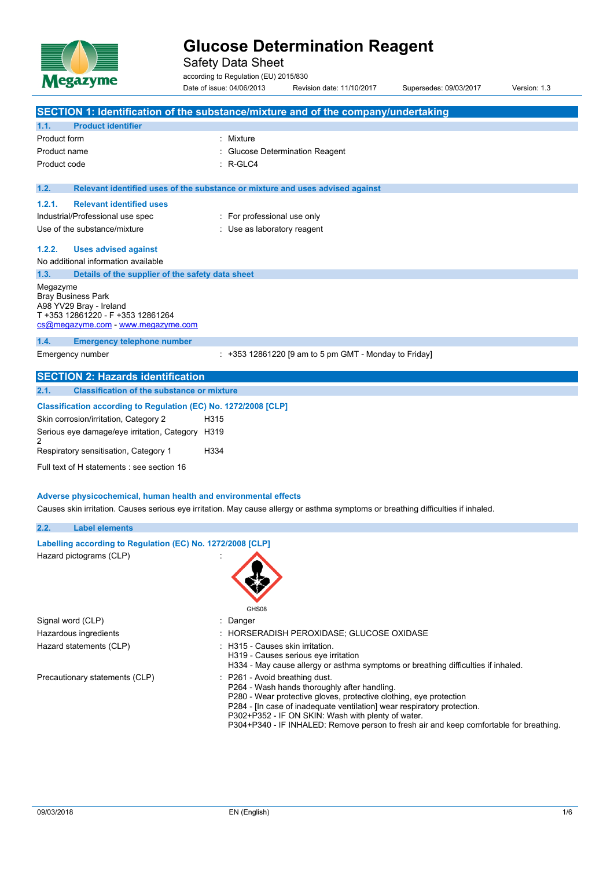

Safety Data Sheet

according to Regulation (EU) 2015/830 Date of issue: 04/06/2013 Revision date: 11/10/2017 Supersedes: 09/03/2017 Version: 1.3

|                     | SECTION 1: Identification of the substance/mixture and of the company/undertaking                                                                                                                    |           |                                  |                                                                                                                                                                                                                                                                                                                                               |  |  |  |  |  |
|---------------------|------------------------------------------------------------------------------------------------------------------------------------------------------------------------------------------------------|-----------|----------------------------------|-----------------------------------------------------------------------------------------------------------------------------------------------------------------------------------------------------------------------------------------------------------------------------------------------------------------------------------------------|--|--|--|--|--|
| 1.1.                | <b>Product identifier</b>                                                                                                                                                                            |           |                                  |                                                                                                                                                                                                                                                                                                                                               |  |  |  |  |  |
| <b>Product form</b> |                                                                                                                                                                                                      | : Mixture |                                  |                                                                                                                                                                                                                                                                                                                                               |  |  |  |  |  |
| Product name        |                                                                                                                                                                                                      |           |                                  | <b>Glucose Determination Reagent</b>                                                                                                                                                                                                                                                                                                          |  |  |  |  |  |
| Product code        |                                                                                                                                                                                                      | : R-GLC4  |                                  |                                                                                                                                                                                                                                                                                                                                               |  |  |  |  |  |
|                     |                                                                                                                                                                                                      |           |                                  |                                                                                                                                                                                                                                                                                                                                               |  |  |  |  |  |
| 1.2.                | Relevant identified uses of the substance or mixture and uses advised against                                                                                                                        |           |                                  |                                                                                                                                                                                                                                                                                                                                               |  |  |  |  |  |
| 1.2.1.              | <b>Relevant identified uses</b>                                                                                                                                                                      |           |                                  |                                                                                                                                                                                                                                                                                                                                               |  |  |  |  |  |
|                     | Industrial/Professional use spec                                                                                                                                                                     |           | : For professional use only      |                                                                                                                                                                                                                                                                                                                                               |  |  |  |  |  |
|                     | Use of the substance/mixture                                                                                                                                                                         |           | : Use as laboratory reagent      |                                                                                                                                                                                                                                                                                                                                               |  |  |  |  |  |
| 1.2.2.              | <b>Uses advised against</b>                                                                                                                                                                          |           |                                  |                                                                                                                                                                                                                                                                                                                                               |  |  |  |  |  |
|                     | No additional information available                                                                                                                                                                  |           |                                  |                                                                                                                                                                                                                                                                                                                                               |  |  |  |  |  |
| 1.3.                | Details of the supplier of the safety data sheet                                                                                                                                                     |           |                                  |                                                                                                                                                                                                                                                                                                                                               |  |  |  |  |  |
| Megazyme            | <b>Bray Business Park</b><br>A98 YV29 Bray - Ireland<br>T +353 12861220 - F +353 12861264<br>cs@megazyme.com - www.megazyme.com                                                                      |           |                                  |                                                                                                                                                                                                                                                                                                                                               |  |  |  |  |  |
| 1.4.                | <b>Emergency telephone number</b>                                                                                                                                                                    |           |                                  |                                                                                                                                                                                                                                                                                                                                               |  |  |  |  |  |
|                     | Emergency number                                                                                                                                                                                     |           |                                  | : +353 12861220 [9 am to 5 pm GMT - Monday to Friday]                                                                                                                                                                                                                                                                                         |  |  |  |  |  |
|                     | <b>SECTION 2: Hazards identification</b>                                                                                                                                                             |           |                                  |                                                                                                                                                                                                                                                                                                                                               |  |  |  |  |  |
| 2.1.                | <b>Classification of the substance or mixture</b>                                                                                                                                                    |           |                                  |                                                                                                                                                                                                                                                                                                                                               |  |  |  |  |  |
|                     | Classification according to Regulation (EC) No. 1272/2008 [CLP]<br>Skin corrosion/irritation, Category 2                                                                                             | H315      |                                  |                                                                                                                                                                                                                                                                                                                                               |  |  |  |  |  |
|                     | Serious eye damage/eye irritation, Category H319                                                                                                                                                     |           |                                  |                                                                                                                                                                                                                                                                                                                                               |  |  |  |  |  |
| 2                   | Respiratory sensitisation, Category 1                                                                                                                                                                | H334      |                                  |                                                                                                                                                                                                                                                                                                                                               |  |  |  |  |  |
|                     |                                                                                                                                                                                                      |           |                                  |                                                                                                                                                                                                                                                                                                                                               |  |  |  |  |  |
|                     | Full text of H statements : see section 16                                                                                                                                                           |           |                                  |                                                                                                                                                                                                                                                                                                                                               |  |  |  |  |  |
|                     | Adverse physicochemical, human health and environmental effects<br>Causes skin irritation. Causes serious eye irritation. May cause allergy or asthma symptoms or breathing difficulties if inhaled. |           |                                  |                                                                                                                                                                                                                                                                                                                                               |  |  |  |  |  |
| 2.2.                | <b>Label elements</b>                                                                                                                                                                                |           |                                  |                                                                                                                                                                                                                                                                                                                                               |  |  |  |  |  |
|                     | Labelling according to Regulation (EC) No. 1272/2008 [CLP]                                                                                                                                           |           |                                  |                                                                                                                                                                                                                                                                                                                                               |  |  |  |  |  |
|                     | Hazard pictograms (CLP)                                                                                                                                                                              |           | GHS08                            |                                                                                                                                                                                                                                                                                                                                               |  |  |  |  |  |
| Signal word (CLP)   |                                                                                                                                                                                                      | Danger    |                                  |                                                                                                                                                                                                                                                                                                                                               |  |  |  |  |  |
|                     | Hazardous ingredients                                                                                                                                                                                |           |                                  | HORSERADISH PEROXIDASE; GLUCOSE OXIDASE                                                                                                                                                                                                                                                                                                       |  |  |  |  |  |
|                     | Hazard statements (CLP)                                                                                                                                                                              |           | : H315 - Causes skin irritation. | H319 - Causes serious eye irritation<br>H334 - May cause allergy or asthma symptoms or breathing difficulties if inhaled.                                                                                                                                                                                                                     |  |  |  |  |  |
|                     | Precautionary statements (CLP)                                                                                                                                                                       |           | P261 - Avoid breathing dust.     | P264 - Wash hands thoroughly after handling.<br>P280 - Wear protective gloves, protective clothing, eye protection<br>P284 - [In case of inadequate ventilation] wear respiratory protection.<br>P302+P352 - IF ON SKIN: Wash with plenty of water.<br>P304+P340 - IF INHALED: Remove person to fresh air and keep comfortable for breathing. |  |  |  |  |  |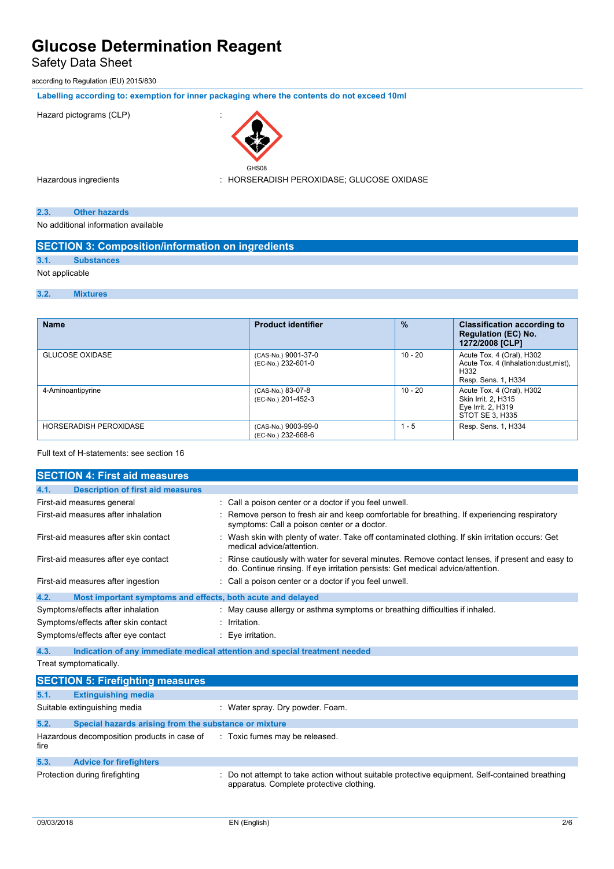# Safety Data Sheet

according to Regulation (EU) 2015/830

**Labelling according to: exemption for inner packaging where the contents do not exceed 10ml**

#### Hazard pictograms (CLP) :



Hazardous ingredients : HORSERADISH PEROXIDASE; GLUCOSE OXIDASE

### **2.3. Other hazards**

No additional information available

|                | <b>SECTION 3: Composition/information on ingredients</b> |                           |               |                                    |  |  |
|----------------|----------------------------------------------------------|---------------------------|---------------|------------------------------------|--|--|
| 3.1.           | <b>Substances</b>                                        |                           |               |                                    |  |  |
| Not applicable |                                                          |                           |               |                                    |  |  |
| 3.2.           | <b>Mixtures</b>                                          |                           |               |                                    |  |  |
|                |                                                          |                           |               |                                    |  |  |
| <b>Name</b>    |                                                          | <b>Product identifier</b> | $\frac{9}{6}$ | <b>Classification according to</b> |  |  |

| машы                          | г годиот госпиног                         | 70        | Classification according to<br><b>Regulation (EC) No.</b><br>1272/2008 [CLP]                       |
|-------------------------------|-------------------------------------------|-----------|----------------------------------------------------------------------------------------------------|
| <b>GLUCOSE OXIDASE</b>        | (CAS-No.) 9001-37-0<br>(EC-No.) 232-601-0 | $10 - 20$ | Acute Tox. 4 (Oral), H302<br>Acute Tox. 4 (Inhalation: dust, mist),<br>H332<br>Resp. Sens. 1, H334 |
| 4-Aminoantipyrine             | (CAS-No.) 83-07-8<br>(EC-No.) 201-452-3   | $10 - 20$ | Acute Tox. 4 (Oral), H302<br>Skin Irrit. 2, H315<br>Eye Irrit. 2, H319<br>STOT SE 3. H335          |
| <b>HORSERADISH PEROXIDASE</b> | (CAS-No.) 9003-99-0<br>(EC-No.) 232-668-6 | $1 - 5$   | Resp. Sens. 1, H334                                                                                |

#### Full text of H-statements: see section 16

|                              | <b>SECTION 4: First aid measures</b>                        |                                                                                                                                                                                     |
|------------------------------|-------------------------------------------------------------|-------------------------------------------------------------------------------------------------------------------------------------------------------------------------------------|
| 4.1.                         | <b>Description of first aid measures</b>                    |                                                                                                                                                                                     |
|                              | First-aid measures general                                  | : Call a poison center or a doctor if you feel unwell.                                                                                                                              |
|                              | First-aid measures after inhalation                         | Remove person to fresh air and keep comfortable for breathing. If experiencing respiratory<br>symptoms: Call a poison center or a doctor.                                           |
|                              | First-aid measures after skin contact                       | Wash skin with plenty of water. Take off contaminated clothing. If skin irritation occurs: Get<br>medical advice/attention                                                          |
|                              | First-aid measures after eye contact                        | : Rinse cautiously with water for several minutes. Remove contact lenses, if present and easy to<br>do. Continue rinsing. If eye irritation persists: Get medical advice/attention. |
|                              | First-aid measures after ingestion                          | : Call a poison center or a doctor if you feel unwell.                                                                                                                              |
| 4.2.                         | Most important symptoms and effects, both acute and delayed |                                                                                                                                                                                     |
|                              | Symptoms/effects after inhalation                           | : May cause allergy or asthma symptoms or breathing difficulties if inhaled.                                                                                                        |
|                              | Symptoms/effects after skin contact                         | : Irritation.                                                                                                                                                                       |
|                              | Symptoms/effects after eye contact                          | : Eye irritation.                                                                                                                                                                   |
| 4.3.                         |                                                             | Indication of any immediate medical attention and special treatment needed                                                                                                          |
|                              | Treat symptomatically.                                      |                                                                                                                                                                                     |
|                              | <b>SECTION 5: Firefighting measures</b>                     |                                                                                                                                                                                     |
| 5.1.                         | <b>Extinguishing media</b>                                  |                                                                                                                                                                                     |
| Suitable extinguishing media |                                                             | : Water spray. Dry powder. Foam.                                                                                                                                                    |

**5.2. Special hazards arising from the substance or mixture** Hazardous decomposition products in case of : Toxic fumes may be released.

fire **5.3. Advice for firefighters** Protection during firefighting **incomatable 20 and 20 and incording** : Do not attempt to take action without suitable protective equipment. Self-contained breathing apparatus. Complete protective clothing.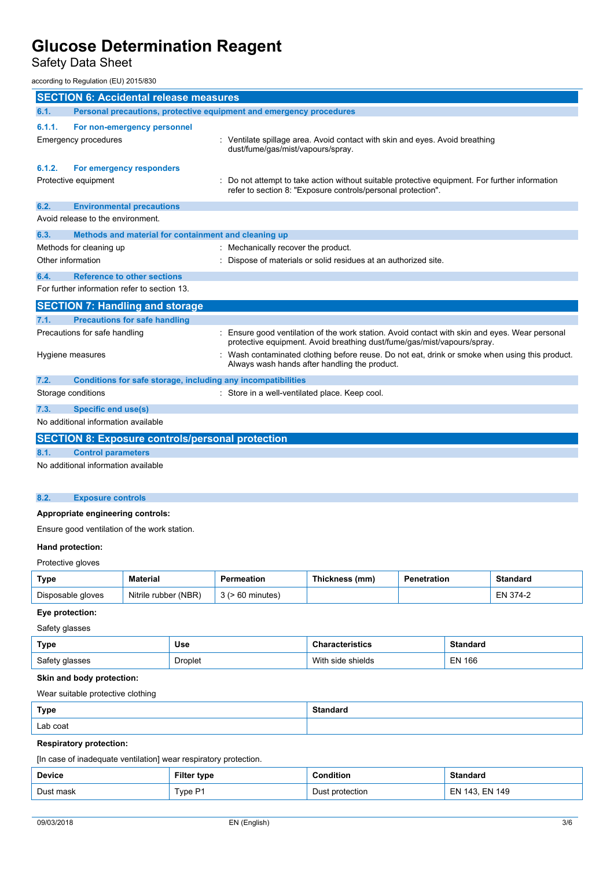Safety Data Sheet

according to Regulation (EU) 2015/830

| <b>SECTION 6: Accidental release measures</b>                                                                                                    |                      |                    |                                                                                                                |                                                                                                                                                                                                                                                                         |                    |                 |                 |
|--------------------------------------------------------------------------------------------------------------------------------------------------|----------------------|--------------------|----------------------------------------------------------------------------------------------------------------|-------------------------------------------------------------------------------------------------------------------------------------------------------------------------------------------------------------------------------------------------------------------------|--------------------|-----------------|-----------------|
| Personal precautions, protective equipment and emergency procedures<br>6.1.                                                                      |                      |                    |                                                                                                                |                                                                                                                                                                                                                                                                         |                    |                 |                 |
| 6.1.1.<br>For non-emergency personnel                                                                                                            |                      |                    |                                                                                                                |                                                                                                                                                                                                                                                                         |                    |                 |                 |
| <b>Emergency procedures</b><br>: Ventilate spillage area. Avoid contact with skin and eyes. Avoid breathing<br>dust/fume/gas/mist/vapours/spray. |                      |                    |                                                                                                                |                                                                                                                                                                                                                                                                         |                    |                 |                 |
| 6.1.2.<br>For emergency responders<br>Protective equipment                                                                                       |                      |                    |                                                                                                                | Do not attempt to take action without suitable protective equipment. For further information<br>refer to section 8: "Exposure controls/personal protection".                                                                                                            |                    |                 |                 |
| 6.2.<br><b>Environmental precautions</b>                                                                                                         |                      |                    |                                                                                                                |                                                                                                                                                                                                                                                                         |                    |                 |                 |
| Avoid release to the environment.                                                                                                                |                      |                    |                                                                                                                |                                                                                                                                                                                                                                                                         |                    |                 |                 |
| 6.3.                                                                                                                                             |                      |                    | Methods and material for containment and cleaning up                                                           |                                                                                                                                                                                                                                                                         |                    |                 |                 |
| Methods for cleaning up                                                                                                                          |                      |                    | : Mechanically recover the product.                                                                            |                                                                                                                                                                                                                                                                         |                    |                 |                 |
| Other information                                                                                                                                |                      |                    |                                                                                                                | Dispose of materials or solid residues at an authorized site.                                                                                                                                                                                                           |                    |                 |                 |
| <b>Reference to other sections</b><br>6.4.                                                                                                       |                      |                    |                                                                                                                |                                                                                                                                                                                                                                                                         |                    |                 |                 |
| For further information refer to section 13.                                                                                                     |                      |                    |                                                                                                                |                                                                                                                                                                                                                                                                         |                    |                 |                 |
| <b>SECTION 7: Handling and storage</b>                                                                                                           |                      |                    |                                                                                                                |                                                                                                                                                                                                                                                                         |                    |                 |                 |
| <b>Precautions for safe handling</b><br>7.1.                                                                                                     |                      |                    |                                                                                                                |                                                                                                                                                                                                                                                                         |                    |                 |                 |
| Precautions for safe handling<br>Hygiene measures                                                                                                |                      |                    |                                                                                                                | Ensure good ventilation of the work station. Avoid contact with skin and eyes. Wear personal<br>protective equipment. Avoid breathing dust/fume/gas/mist/vapours/spray.<br>Wash contaminated clothing before reuse. Do not eat, drink or smoke when using this product. |                    |                 |                 |
|                                                                                                                                                  |                      |                    |                                                                                                                | Always wash hands after handling the product.                                                                                                                                                                                                                           |                    |                 |                 |
| 7.2.<br>Storage conditions                                                                                                                       |                      |                    | Conditions for safe storage, including any incompatibilities<br>: Store in a well-ventilated place. Keep cool. |                                                                                                                                                                                                                                                                         |                    |                 |                 |
|                                                                                                                                                  |                      |                    |                                                                                                                |                                                                                                                                                                                                                                                                         |                    |                 |                 |
| 7.3.<br><b>Specific end use(s)</b><br>No additional information available                                                                        |                      |                    |                                                                                                                |                                                                                                                                                                                                                                                                         |                    |                 |                 |
|                                                                                                                                                  |                      |                    |                                                                                                                |                                                                                                                                                                                                                                                                         |                    |                 |                 |
| <b>SECTION 8: Exposure controls/personal protection</b><br><b>Control parameters</b>                                                             |                      |                    |                                                                                                                |                                                                                                                                                                                                                                                                         |                    |                 |                 |
| 8.1.<br>No additional information available                                                                                                      |                      |                    |                                                                                                                |                                                                                                                                                                                                                                                                         |                    |                 |                 |
| 8.2.<br><b>Exposure controls</b>                                                                                                                 |                      |                    |                                                                                                                |                                                                                                                                                                                                                                                                         |                    |                 |                 |
| Appropriate engineering controls:                                                                                                                |                      |                    |                                                                                                                |                                                                                                                                                                                                                                                                         |                    |                 |                 |
| Ensure good ventilation of the work station.                                                                                                     |                      |                    |                                                                                                                |                                                                                                                                                                                                                                                                         |                    |                 |                 |
| Hand protection:                                                                                                                                 |                      |                    |                                                                                                                |                                                                                                                                                                                                                                                                         |                    |                 |                 |
| Protective gloves                                                                                                                                |                      |                    |                                                                                                                |                                                                                                                                                                                                                                                                         |                    |                 |                 |
| <b>Type</b>                                                                                                                                      | <b>Material</b>      |                    | Permeation                                                                                                     | Thickness (mm)                                                                                                                                                                                                                                                          | <b>Penetration</b> |                 | <b>Standard</b> |
| Disposable gloves                                                                                                                                | Nitrile rubber (NBR) |                    | $3$ ( $> 60$ minutes)                                                                                          |                                                                                                                                                                                                                                                                         |                    |                 | EN 374-2        |
| Eye protection:                                                                                                                                  |                      |                    |                                                                                                                |                                                                                                                                                                                                                                                                         |                    |                 |                 |
| Safety glasses                                                                                                                                   |                      |                    |                                                                                                                |                                                                                                                                                                                                                                                                         |                    |                 |                 |
| <b>Type</b>                                                                                                                                      |                      | <b>Use</b>         |                                                                                                                | <b>Characteristics</b>                                                                                                                                                                                                                                                  |                    | <b>Standard</b> |                 |
| Safety glasses<br><b>Droplet</b>                                                                                                                 |                      |                    |                                                                                                                | With side shields<br><b>EN 166</b>                                                                                                                                                                                                                                      |                    |                 |                 |
| Skin and body protection:                                                                                                                        |                      |                    |                                                                                                                |                                                                                                                                                                                                                                                                         |                    |                 |                 |
| Wear suitable protective clothing                                                                                                                |                      |                    |                                                                                                                |                                                                                                                                                                                                                                                                         |                    |                 |                 |
| <b>Standard</b><br><b>Type</b>                                                                                                                   |                      |                    |                                                                                                                |                                                                                                                                                                                                                                                                         |                    |                 |                 |
| Lab coat                                                                                                                                         |                      |                    |                                                                                                                |                                                                                                                                                                                                                                                                         |                    |                 |                 |
| <b>Respiratory protection:</b>                                                                                                                   |                      |                    |                                                                                                                |                                                                                                                                                                                                                                                                         |                    |                 |                 |
| [In case of inadequate ventilation] wear respiratory protection.                                                                                 |                      |                    |                                                                                                                |                                                                                                                                                                                                                                                                         |                    |                 |                 |
| <b>Device</b>                                                                                                                                    |                      | <b>Filter type</b> |                                                                                                                | Condition                                                                                                                                                                                                                                                               |                    | <b>Standard</b> |                 |
| Dust mask                                                                                                                                        | Type P1              |                    | Dust protection                                                                                                |                                                                                                                                                                                                                                                                         | EN 143, EN 149     |                 |                 |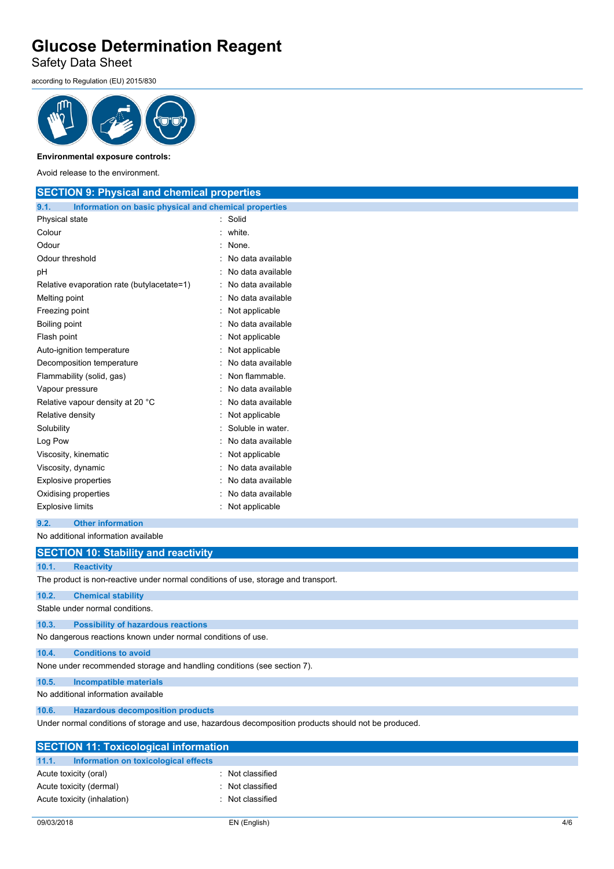Safety Data Sheet

according to Regulation (EU) 2015/830



**Environmental exposure controls:**

Avoid release to the environment.

| <b>SECTION 9: Physical and chemical properties</b>                                 |                   |  |  |
|------------------------------------------------------------------------------------|-------------------|--|--|
| 9.1.<br>Information on basic physical and chemical properties                      |                   |  |  |
| Physical state                                                                     | : Solid           |  |  |
| Colour                                                                             | white.            |  |  |
| Odour                                                                              | None.             |  |  |
| Odour threshold                                                                    | No data available |  |  |
| рH                                                                                 | No data available |  |  |
| Relative evaporation rate (butylacetate=1)                                         | No data available |  |  |
| Melting point                                                                      | No data available |  |  |
| Freezing point                                                                     | Not applicable    |  |  |
| Boiling point                                                                      | No data available |  |  |
| Flash point                                                                        | Not applicable    |  |  |
| Auto-ignition temperature                                                          | Not applicable    |  |  |
| Decomposition temperature                                                          | No data available |  |  |
| Flammability (solid, gas)                                                          | Non flammable.    |  |  |
| Vapour pressure                                                                    | No data available |  |  |
| Relative vapour density at 20 °C                                                   | No data available |  |  |
| Relative density                                                                   | Not applicable    |  |  |
| Solubility                                                                         | Soluble in water. |  |  |
| Log Pow                                                                            | No data available |  |  |
| Viscosity, kinematic                                                               | Not applicable    |  |  |
| Viscosity, dynamic                                                                 | No data available |  |  |
| <b>Explosive properties</b>                                                        | No data available |  |  |
| Oxidising properties                                                               | No data available |  |  |
| <b>Explosive limits</b>                                                            | Not applicable    |  |  |
| <b>Other information</b><br>9.2.                                                   |                   |  |  |
| No additional information available                                                |                   |  |  |
| <b>SECTION 10: Stability and reactivity</b>                                        |                   |  |  |
| 10.1.<br><b>Reactivity</b>                                                         |                   |  |  |
| The product is non-reactive under normal conditions of use, storage and transport. |                   |  |  |
| 10.2.<br><b>Chemical stability</b>                                                 |                   |  |  |
| Stable under normal conditions.                                                    |                   |  |  |
| 10.3.<br><b>Possibility of hazardous reactions</b>                                 |                   |  |  |

No dangerous reactions known under normal conditions of use.

**10.4. Conditions to avoid**

None under recommended storage and handling conditions (see section 7).

**10.5. Incompatible materials**

No additional information available

#### **10.6. Hazardous decomposition products**

Under normal conditions of storage and use, hazardous decomposition products should not be produced.

| <b>SECTION 11: Toxicological information</b>  |                |  |  |  |
|-----------------------------------------------|----------------|--|--|--|
|                                               |                |  |  |  |
| 11.1.<br>Information on toxicological effects |                |  |  |  |
| Acute toxicity (oral)                         | Not classified |  |  |  |
| Acute toxicity (dermal)                       | Not classified |  |  |  |
| Acute toxicity (inhalation)                   | Not classified |  |  |  |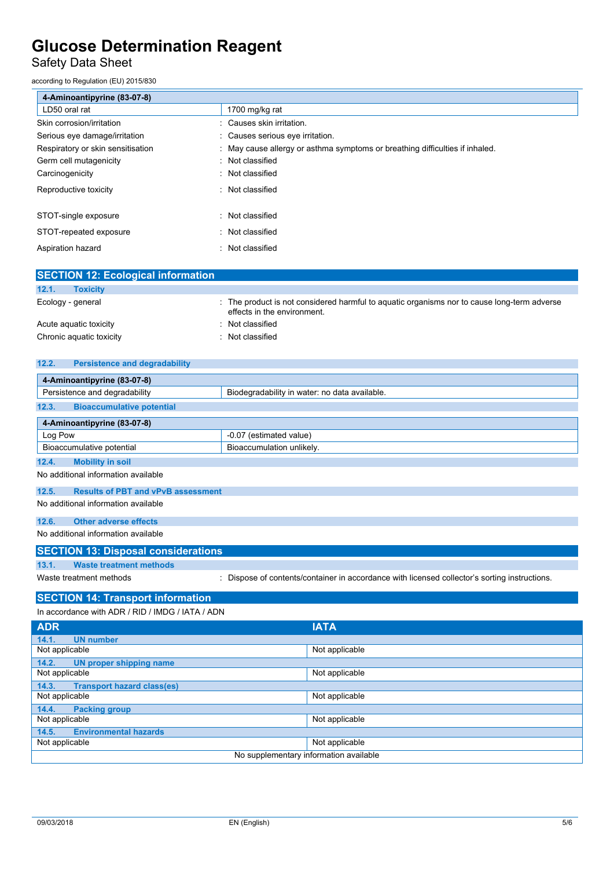Safety Data Sheet

according to Regulation (EU) 2015/830

| 4-Aminoantipyrine (83-07-8)       |                                                                              |
|-----------------------------------|------------------------------------------------------------------------------|
| LD50 oral rat                     | 1700 mg/kg rat                                                               |
| Skin corrosion/irritation         | Causes skin irritation.                                                      |
| Serious eye damage/irritation     | : Causes serious eye irritation.                                             |
| Respiratory or skin sensitisation | : May cause allergy or asthma symptoms or breathing difficulties if inhaled. |
| Germ cell mutagenicity            | : Not classified                                                             |
| Carcinogenicity                   | : Not classified                                                             |
| Reproductive toxicity             | Not classified<br>$\sim$                                                     |
|                                   |                                                                              |
| STOT-single exposure              | Not classified<br>۰                                                          |
| STOT-repeated exposure            | : Not classified                                                             |
| Aspiration hazard                 | : Not classified                                                             |

| <b>SECTION 12: Ecological information</b> |                                                                                                                            |
|-------------------------------------------|----------------------------------------------------------------------------------------------------------------------------|
| 12.1.<br><b>Toxicity</b>                  |                                                                                                                            |
| Ecology - general                         | : The product is not considered harmful to aquatic organisms nor to cause long-term adverse<br>effects in the environment. |
| Acute aguatic toxicity                    | Not classified                                                                                                             |
| Chronic aquatic toxicity                  | Not classified                                                                                                             |

| 12.2.<br><b>Persistence and degradability</b>                                  |                                                                                               |  |  |  |
|--------------------------------------------------------------------------------|-----------------------------------------------------------------------------------------------|--|--|--|
| 4-Aminoantipyrine (83-07-8)                                                    |                                                                                               |  |  |  |
| Persistence and degradability<br>Biodegradability in water: no data available. |                                                                                               |  |  |  |
| 12.3.<br><b>Bioaccumulative potential</b>                                      |                                                                                               |  |  |  |
| 4-Aminoantipyrine (83-07-8)                                                    |                                                                                               |  |  |  |
| Log Pow                                                                        | -0.07 (estimated value)                                                                       |  |  |  |
| Bioaccumulative potential                                                      | Bioaccumulation unlikely.                                                                     |  |  |  |
| <b>Mobility in soil</b><br>12.4.                                               |                                                                                               |  |  |  |
| No additional information available                                            |                                                                                               |  |  |  |
| 12.5.<br><b>Results of PBT and vPvB assessment</b>                             |                                                                                               |  |  |  |
| No additional information available                                            |                                                                                               |  |  |  |
| 12.6.<br><b>Other adverse effects</b>                                          |                                                                                               |  |  |  |
| No additional information available                                            |                                                                                               |  |  |  |
| <b>SECTION 13: Disposal considerations</b>                                     |                                                                                               |  |  |  |
| 13.1.<br><b>Waste treatment methods</b>                                        |                                                                                               |  |  |  |
| Waste treatment methods                                                        | : Dispose of contents/container in accordance with licensed collector's sorting instructions. |  |  |  |
| <b>SECTION 14: Transport information</b>                                       |                                                                                               |  |  |  |

| In accordance with ADR / RID / IMDG / IATA / ADN |                |  |  |
|--------------------------------------------------|----------------|--|--|
| <b>ADR</b>                                       | <b>IATA</b>    |  |  |
| <b>UN number</b><br>14.1.                        |                |  |  |
| Not applicable                                   | Not applicable |  |  |
| 14.2.<br>UN proper shipping name                 |                |  |  |
| Not applicable                                   | Not applicable |  |  |
| <b>Transport hazard class(es)</b><br>14.3.       |                |  |  |
| Not applicable                                   | Not applicable |  |  |
| 14.4.<br><b>Packing group</b>                    |                |  |  |
| Not applicable                                   | Not applicable |  |  |
| <b>Environmental hazards</b><br>14.5.            |                |  |  |
| Not applicable                                   | Not applicable |  |  |
| No supplementary information available           |                |  |  |